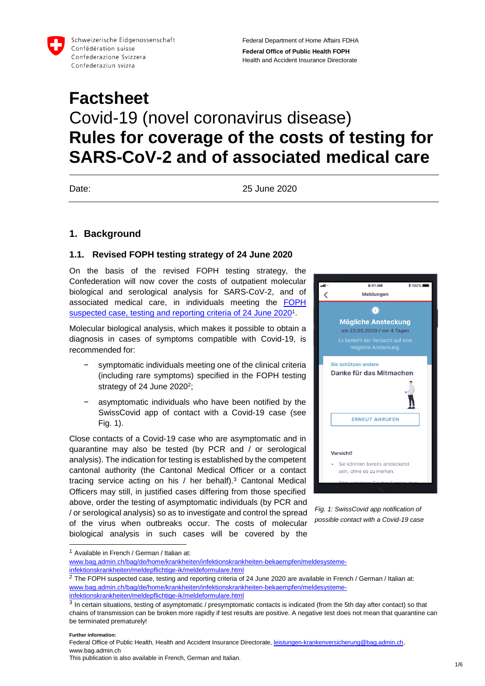

Schweizerische Eidgenossenschaft Confédération suisse Confederazione Svizzera Confederaziun svizra

Federal Department of Home Affairs FDHA **Federal Office of Public Health FOPH** Health and Accident Insurance Directorate

# **Factsheet** Covid-19 (novel coronavirus disease) **Rules for coverage of the costs of testing for SARS-CoV-2 and of associated medical care**

Date: 25 June 2020

## **1. Background**

#### **1.1. Revised FOPH testing strategy of 24 June 2020**

On the basis of the revised FOPH testing strategy, the Confederation will now cover the costs of outpatient molecular biological and serological analysis for SARS-CoV-2, and of associated medical care, in individuals meeting the FOPH [suspected case, testing](https://www.bag.admin.ch/bag/de/home/krankheiten/infektionskrankheiten-bekaempfen/meldesysteme-infektionskrankheiten/meldepflichtige-ik/meldeformulare.html) and reporting criteria of 24 June 2020<sup>1</sup>.

Molecular biological analysis, which makes it possible to obtain a diagnosis in cases of symptoms compatible with Covid-19, is recommended for:

- symptomatic individuals meeting one of the clinical criteria (including rare symptoms) specified in the FOPH testing strategy of 24 June 2020<sup>2</sup>;
- asymptomatic individuals who have been notified by the SwissCovid app of contact with a Covid-19 case (see Fig. 1).

Close contacts of a Covid-19 case who are asymptomatic and in quarantine may also be tested (by PCR and / or serological analysis). The indication for testing is established by the competent cantonal authority (the Cantonal Medical Officer or a contact tracing service acting on his / her behalf).<sup>3</sup> Cantonal Medical Officers may still, in justified cases differing from those specified above, order the testing of asymptomatic individuals (by PCR and / or serological analysis) so as to investigate and control the spread of the virus when outbreaks occur. The costs of molecular biological analysis in such cases will be covered by the



*Fig. 1: SwissCovid app notification of possible contact with a Covid-19 case*

**Further information:**

-

<sup>1</sup> Available in French / German / Italian at:

[www.bag.admin.ch/bag/de/home/krankheiten/infektionskrankheiten-bekaempfen/meldesysteme](https://www.bag.admin.ch/bag/de/home/krankheiten/infektionskrankheiten-bekaempfen/meldesysteme-infektionskrankheiten/meldepflichtige-ik/meldeformulare.html)[infektionskrankheiten/meldepflichtige-ik/meldeformulare.html](https://www.bag.admin.ch/bag/de/home/krankheiten/infektionskrankheiten-bekaempfen/meldesysteme-infektionskrankheiten/meldepflichtige-ik/meldeformulare.html)

 $2$  The FOPH suspected case, testing and reporting criteria of 24 June 2020 are available in French / German / Italian at: [www.bag.admin.ch/bag/de/home/krankheiten/infektionskrankheiten-bekaempfen/meldesysteme](https://www.bag.admin.ch/bag/de/home/krankheiten/infektionskrankheiten-bekaempfen/meldesysteme-infektionskrankheiten/meldepflichtige-ik/meldeformulare.html)[infektionskrankheiten/meldepflichtige-ik/meldeformulare.html](https://www.bag.admin.ch/bag/de/home/krankheiten/infektionskrankheiten-bekaempfen/meldesysteme-infektionskrankheiten/meldepflichtige-ik/meldeformulare.html)

 $3$  In certain situations, testing of asymptomatic / presymptomatic contacts is indicated (from the 5th day after contact) so that chains of transmission can be broken more rapidly if test results are positive. A negative test does not mean that quarantine can be terminated prematurely!

This publication is also available in French, German and Italian.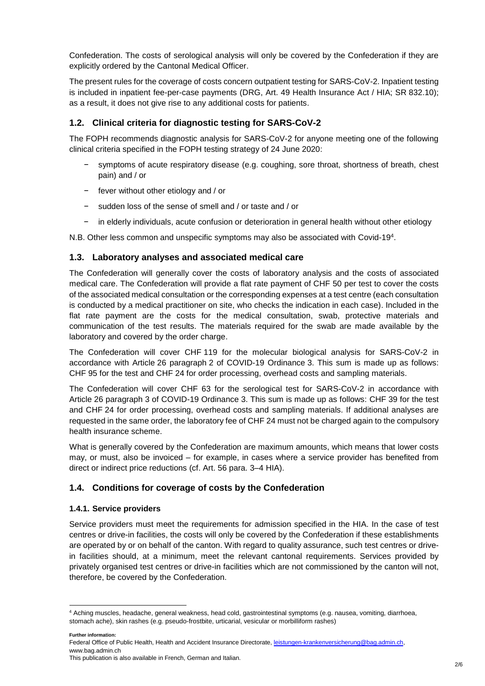Confederation. The costs of serological analysis will only be covered by the Confederation if they are explicitly ordered by the Cantonal Medical Officer.

The present rules for the coverage of costs concern outpatient testing for SARS-CoV-2. Inpatient testing is included in inpatient fee-per-case payments (DRG, Art. 49 Health Insurance Act / HIA; SR 832.10); as a result, it does not give rise to any additional costs for patients.

## **1.2. Clinical criteria for diagnostic testing for SARS-CoV-2**

The FOPH recommends diagnostic analysis for SARS-CoV-2 for anyone meeting one of the following clinical criteria specified in the FOPH testing strategy of 24 June 2020:

- symptoms of acute respiratory disease (e.g. coughing, sore throat, shortness of breath, chest pain) and / or
- − fever without other etiology and / or
- − sudden loss of the sense of smell and / or taste and / or
- in elderly individuals, acute confusion or deterioration in general health without other etiology

N.B. Other less common and unspecific symptoms may also be associated with Covid-19<sup>4</sup> .

#### **1.3. Laboratory analyses and associated medical care**

The Confederation will generally cover the costs of laboratory analysis and the costs of associated medical care. The Confederation will provide a flat rate payment of CHF 50 per test to cover the costs of the associated medical consultation or the corresponding expenses at a test centre (each consultation is conducted by a medical practitioner on site, who checks the indication in each case). Included in the flat rate payment are the costs for the medical consultation, swab, protective materials and communication of the test results. The materials required for the swab are made available by the laboratory and covered by the order charge.

The Confederation will cover CHF 119 for the molecular biological analysis for SARS-CoV-2 in accordance with Article 26 paragraph 2 of COVID-19 Ordinance 3. This sum is made up as follows: CHF 95 for the test and CHF 24 for order processing, overhead costs and sampling materials.

The Confederation will cover CHF 63 for the serological test for SARS-CoV-2 in accordance with Article 26 paragraph 3 of COVID-19 Ordinance 3. This sum is made up as follows: CHF 39 for the test and CHF 24 for order processing, overhead costs and sampling materials. If additional analyses are requested in the same order, the laboratory fee of CHF 24 must not be charged again to the compulsory health insurance scheme.

What is generally covered by the Confederation are maximum amounts, which means that lower costs may, or must, also be invoiced – for example, in cases where a service provider has benefited from direct or indirect price reductions (cf. Art. 56 para. 3–4 HIA).

#### **1.4. Conditions for coverage of costs by the Confederation**

#### **1.4.1. Service providers**

Service providers must meet the requirements for admission specified in the HIA. In the case of test centres or drive-in facilities, the costs will only be covered by the Confederation if these establishments are operated by or on behalf of the canton. With regard to quality assurance, such test centres or drivein facilities should, at a minimum, meet the relevant cantonal requirements. Services provided by privately organised test centres or drive-in facilities which are not commissioned by the canton will not, therefore, be covered by the Confederation.

**Further information:**

<sup>-</sup><sup>4</sup> Aching muscles, headache, general weakness, head cold, gastrointestinal symptoms (e.g. nausea, vomiting, diarrhoea, stomach ache), skin rashes (e.g. pseudo-frostbite, urticarial, vesicular or morbilliform rashes)

This publication is also available in French, German and Italian.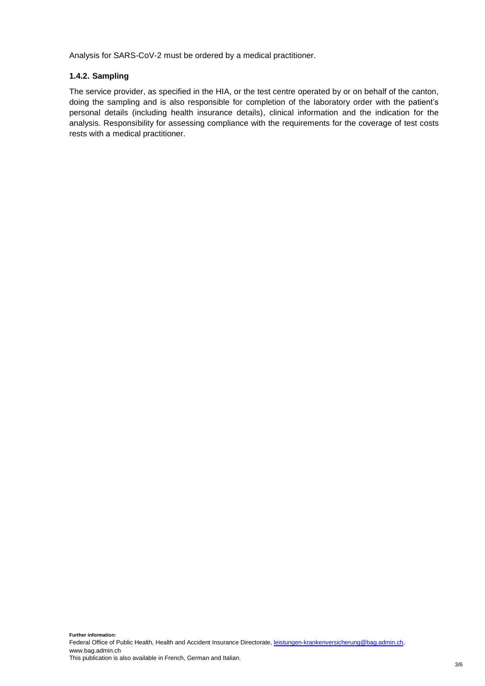Analysis for SARS-CoV-2 must be ordered by a medical practitioner.

#### **1.4.2. Sampling**

The service provider, as specified in the HIA, or the test centre operated by or on behalf of the canton, doing the sampling and is also responsible for completion of the laboratory order with the patient's personal details (including health insurance details), clinical information and the indication for the analysis. Responsibility for assessing compliance with the requirements for the coverage of test costs rests with a medical practitioner.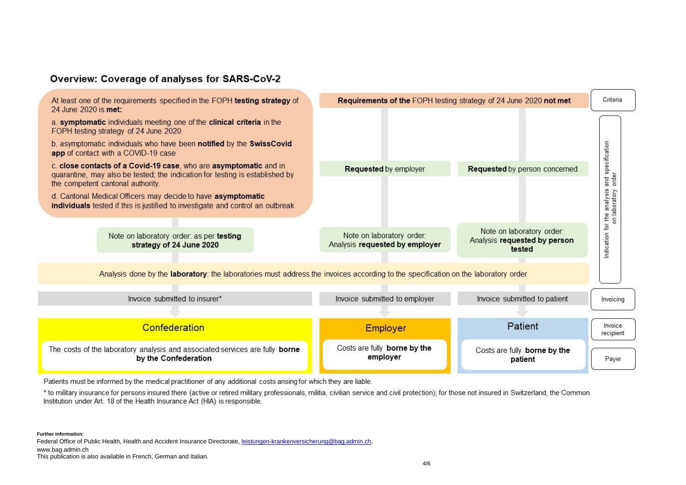## Overview: Coverage of analyses for SARS-CoV-2



Patients must be informed by the medical practitioner of any additional costs arising for which they are liable.

\* to military insurance for persons insured there (active or retired military professionals, militia, civilian service and civil protection); for those not insured in Switzerland, the Common Institution under Art. 18 of the Health Insurance Act (HIA) is responsible.

**Further information:**

Federal Office of Public Health, Health and Accident Insurance Directorate[, leistungen-krankenversicherung@bag.admin.ch,](mailto:leistungen-krankenversicherung@bag.admin.ch) 

www.bag.admin.ch

This publication is also available in French, German and Italian.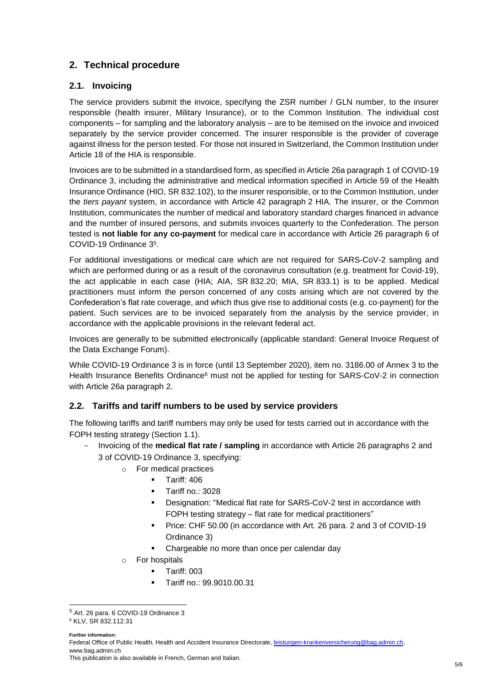# **2. Technical procedure**

## **2.1. Invoicing**

The service providers submit the invoice, specifying the ZSR number / GLN number, to the insurer responsible (health insurer, Military Insurance), or to the Common Institution. The individual cost components – for sampling and the laboratory analysis – are to be itemised on the invoice and invoiced separately by the service provider concerned. The insurer responsible is the provider of coverage against illness for the person tested. For those not insured in Switzerland, the Common Institution under Article 18 of the HIA is responsible.

Invoices are to be submitted in a standardised form, as specified in Article 26a paragraph 1 of COVID-19 Ordinance 3, including the administrative and medical information specified in Article 59 of the Health Insurance Ordinance (HIO, SR 832.102), to the insurer responsible, or to the Common Institution, under the *tiers payant* system, in accordance with Article 42 paragraph 2 HIA. The insurer, or the Common Institution, communicates the number of medical and laboratory standard charges financed in advance and the number of insured persons, and submits invoices quarterly to the Confederation. The person tested is **not liable for any co-payment** for medical care in accordance with Article 26 paragraph 6 of COVID-19 Ordinance 3<sup>5</sup>.

For additional investigations or medical care which are not required for SARS-CoV-2 sampling and which are performed during or as a result of the coronavirus consultation (e.g. treatment for Covid-19), the act applicable in each case (HIA; AIA, SR 832.20; MIA, SR 833.1) is to be applied. Medical practitioners must inform the person concerned of any costs arising which are not covered by the Confederation's flat rate coverage, and which thus give rise to additional costs (e.g. co-payment) for the patient. Such services are to be invoiced separately from the analysis by the service provider, in accordance with the applicable provisions in the relevant federal act.

Invoices are generally to be submitted electronically (applicable standard: General Invoice Request of the Data Exchange Forum).

While COVID-19 Ordinance 3 is in force (until 13 September 2020), item no. 3186.00 of Annex 3 to the Health Insurance Benefits Ordinance<sup>6</sup> must not be applied for testing for SARS-CoV-2 in connection with Article 26a paragraph 2.

#### **2.2. Tariffs and tariff numbers to be used by service providers**

The following tariffs and tariff numbers may only be used for tests carried out in accordance with the FOPH testing strategy (Section 1.1).

- Invoicing of the **medical flat rate / sampling** in accordance with Article 26 paragraphs 2 and 3 of COVID-19 Ordinance 3, specifying:
	- o For medical practices
		- Tariff: 406
			- **Tariff no.: 3028**
			- Designation: "Medical flat rate for SARS-CoV-2 test in accordance with FOPH testing strategy – flat rate for medical practitioners"
			- Price: CHF 50.00 (in accordance with Art. 26 para. 2 and 3 of COVID-19 Ordinance 3)
			- Chargeable no more than once per calendar day
	- o For hospitals
		- **Tariff: 003**
		- Tariff no.: 99.9010.00.31

**Further information:**

-

Federal Office of Public Health, Health and Accident Insurance Directorate[, leistungen-krankenversicherung@bag.admin.ch,](mailto:leistungen-krankenversicherung@bag.admin.ch) www.bag.admin.ch

<sup>5</sup> Art. 26 para. 6 COVID-19 Ordinance 3

<sup>6</sup> KLV, SR 832.112.31

This publication is also available in French, German and Italian.